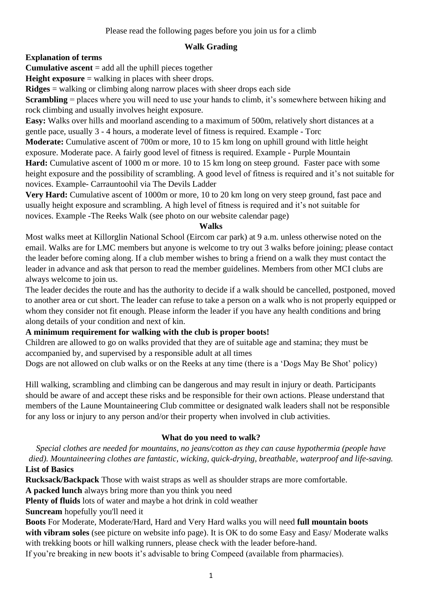Please read the following pages before you join us for a climb

## **Walk Grading**

**Explanation of terms**

**Cumulative ascent** = add all the uphill pieces together

**Height exposure** = walking in places with sheer drops.

**Ridges** = walking or climbing along narrow places with sheer drops each side

**Scrambling** = places where you will need to use your hands to climb, it's somewhere between hiking and rock climbing and usually involves height exposure.

**Easy:** Walks over hills and moorland ascending to a maximum of 500m, relatively short distances at a gentle pace, usually 3 - 4 hours, a moderate level of fitness is required. Example - Torc

**Moderate:** Cumulative ascent of 700m or more, 10 to 15 km long on uphill ground with little height exposure. Moderate pace. A fairly good level of fitness is required. Example - Purple Mountain **Hard:** Cumulative ascent of 1000 m or more. 10 to 15 km long on steep ground. Faster pace with some height exposure and the possibility of scrambling. A good level of fitness is required and it's not suitable for novices. Example- Carrauntoohil via The Devils Ladder

**Very Hard:** Cumulative ascent of 1000m or more, 10 to 20 km long on very steep ground, fast pace and usually height exposure and scrambling. A high level of fitness is required and it's not suitable for novices. Example -The Reeks Walk (see photo on our website calendar page)

#### **Walks**

Most walks meet at Killorglin National School (Eircom car park) at 9 a.m. unless otherwise noted on the email. Walks are for LMC members but anyone is welcome to try out 3 walks before joining; please contact the leader before coming along. If a club member wishes to bring a friend on a walk they must contact the leader in advance and ask that person to read the member guidelines. Members from other MCI clubs are always welcome to join us.

The leader decides the route and has the authority to decide if a walk should be cancelled, postponed, moved to another area or cut short. The leader can refuse to take a person on a walk who is not properly equipped or whom they consider not fit enough. Please inform the leader if you have any health conditions and bring along details of your condition and next of kin.

#### **A minimum requirement for walking with the club is proper boots!**

Children are allowed to go on walks provided that they are of suitable age and stamina; they must be accompanied by, and supervised by a responsible adult at all times

Dogs are not allowed on club walks or on the Reeks at any time (there is a 'Dogs May Be Shot' policy)

Hill walking, scrambling and climbing can be dangerous and may result in injury or death. Participants should be aware of and accept these risks and be responsible for their own actions. Please understand that members of the Laune Mountaineering Club committee or designated walk leaders shall not be responsible for any loss or injury to any person and/or their property when involved in club activities.

# **What do you need to walk?**

*Special clothes are needed for mountains, no jeans/cotton as they can cause hypothermia (people have died). Mountaineering clothes are fantastic, wicking, quick-drying, breathable, waterproof and life-saving.* **List of Basics**

**Rucksack/Backpack** Those with waist straps as well as shoulder straps are more comfortable.

**A packed lunch** always bring more than you think you need

**Plenty of fluids** lots of water and maybe a hot drink in cold weather

**Suncream** hopefully you'll need it

**Boots** For Moderate, Moderate/Hard, Hard and Very Hard walks you will need **full mountain boots with vibram soles** (see picture on website info page). It is OK to do some Easy and Easy/ Moderate walks with trekking boots or hill walking runners, please check with the leader before-hand.

If you're breaking in new boots it's advisable to bring Compeed (available from pharmacies).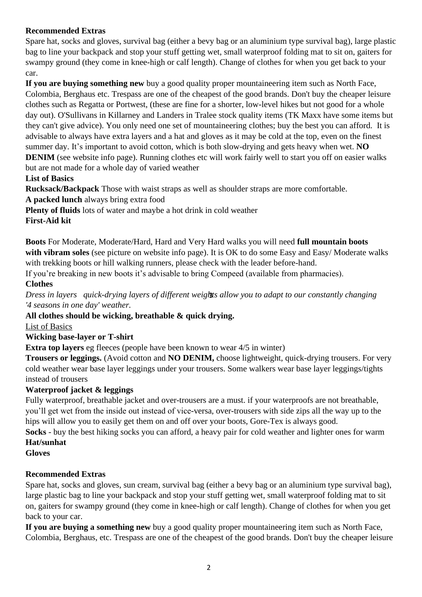# **Recommended Extras**

Spare hat, socks and gloves, survival bag (either a bevy bag or an aluminium type survival bag), large plastic bag to line your backpack and stop your stuff getting wet, small waterproof folding mat to sit on, gaiters for swampy ground (they come in knee-high or calf length). Change of clothes for when you get back to your car.

**If you are buying something new** buy a good quality proper mountaineering item such as North Face, Colombia, Berghaus etc. Trespass are one of the cheapest of the good brands. Don't buy the cheaper leisure clothes such as Regatta or Portwest, (these are fine for a shorter, low-level hikes but not good for a whole day out). O'Sullivans in Killarney and Landers in Tralee stock quality items (TK Maxx have some items but they can't give advice). You only need one set of mountaineering clothes; buy the best you can afford. It is advisable to always have extra layers and a hat and gloves as it may be cold at the top, even on the finest summer day. It's important to avoid cotton, which is both slow-drying and gets heavy when wet. **NO DENIM** (see website info page). Running clothes etc will work fairly well to start you off on easier walks but are not made for a whole day of varied weather

**List of Basics**

**Rucksack/Backpack** Those with waist straps as well as shoulder straps are more comfortable.

**A packed lunch** always bring extra food

**Plenty of fluids** lots of water and maybe a hot drink in cold weather

**First-Aid kit**

**Boots** For Moderate, Moderate/Hard, Hard and Very Hard walks you will need **full mountain boots with vibram soles** (see picture on website info page). It is OK to do some Easy and Easy/ Moderate walks with trekking boots or hill walking runners, please check with the leader before-hand.

If you're breaking in new boots it's advisable to bring Compeed (available from pharmacies).

#### **Clothes**

*Dress in layers quick-drying layers of different weights allow you to adapt to our constantly changing*  3 *'4 seasons in one day' weather.*

**All clothes should be wicking, breathable & quick drying.**

List of Basics

#### **Wicking base-layer or T-shirt**

**Extra top layers** eg fleeces (people have been known to wear 4/5 in winter)

**Trousers or leggings.** (Avoid cotton and **NO DENIM,** choose lightweight, quick-drying trousers. For very cold weather wear base layer leggings under your trousers. Some walkers wear base layer leggings/tights instead of trousers

#### **Waterproof jacket & leggings**

Fully waterproof, breathable jacket and over-trousers are a must. if your waterproofs are not breathable, you'll get wet from the inside out instead of vice-versa, over-trousers with side zips all the way up to the hips will allow you to easily get them on and off over your boots, Gore-Tex is always good.

**Socks** - buy the best hiking socks you can afford, a heavy pair for cold weather and lighter ones for warm **Hat/sunhat**

## **Gloves**

#### **Recommended Extras**

Spare hat, socks and gloves, sun cream, survival bag (either a bevy bag or an aluminium type survival bag), large plastic bag to line your backpack and stop your stuff getting wet, small waterproof folding mat to sit on, gaiters for swampy ground (they come in knee-high or calf length). Change of clothes for when you get back to your car.

**If you are buying a something new** buy a good quality proper mountaineering item such as North Face, Colombia, Berghaus, etc. Trespass are one of the cheapest of the good brands. Don't buy the cheaper leisure